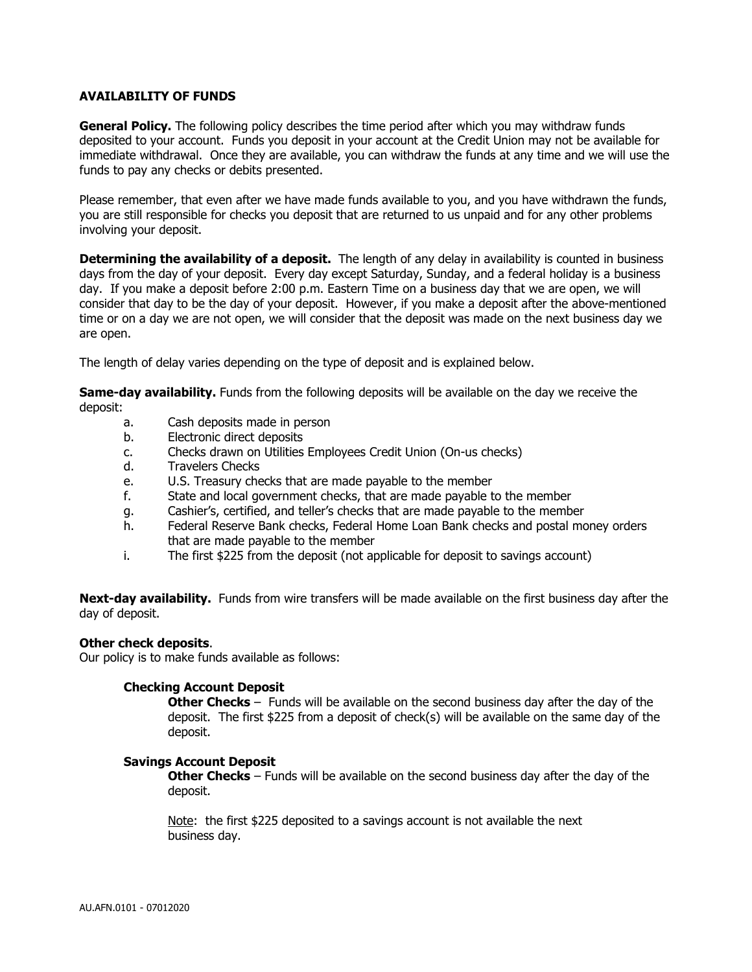## **AVAILABILITY OF FUNDS**

**General Policy.** The following policy describes the time period after which you may withdraw funds deposited to your account. Funds you deposit in your account at the Credit Union may not be available for immediate withdrawal. Once they are available, you can withdraw the funds at any time and we will use the funds to pay any checks or debits presented.

Please remember, that even after we have made funds available to you, and you have withdrawn the funds, you are still responsible for checks you deposit that are returned to us unpaid and for any other problems involving your deposit.

**Determining the availability of a deposit.** The length of any delay in availability is counted in business days from the day of your deposit. Every day except Saturday, Sunday, and a federal holiday is a business day. If you make a deposit before 2:00 p.m. Eastern Time on a business day that we are open, we will consider that day to be the day of your deposit. However, if you make a deposit after the above-mentioned time or on a day we are not open, we will consider that the deposit was made on the next business day we are open.

The length of delay varies depending on the type of deposit and is explained below.

**Same-day availability.** Funds from the following deposits will be available on the day we receive the deposit:

- a. Cash deposits made in person
- b. Electronic direct deposits
- c. Checks drawn on Utilities Employees Credit Union (On-us checks)
- d. Travelers Checks
- e. U.S. Treasury checks that are made payable to the member
- f. State and local government checks, that are made payable to the member
- g. Cashier's, certified, and teller's checks that are made payable to the member
- h. Federal Reserve Bank checks, Federal Home Loan Bank checks and postal money orders that are made payable to the member
- i. The first \$225 from the deposit (not applicable for deposit to savings account)

**Next-day availability.** Funds from wire transfers will be made available on the first business day after the day of deposit.

## **Other check deposits**.

Our policy is to make funds available as follows:

## **Checking Account Deposit**

**Other Checks** – Funds will be available on the second business day after the day of the deposit. The first \$225 from a deposit of check(s) will be available on the same day of the deposit.

## **Savings Account Deposit**

**Other Checks** – Funds will be available on the second business day after the day of the deposit.

Note: the first \$225 deposited to a savings account is not available the next business day.